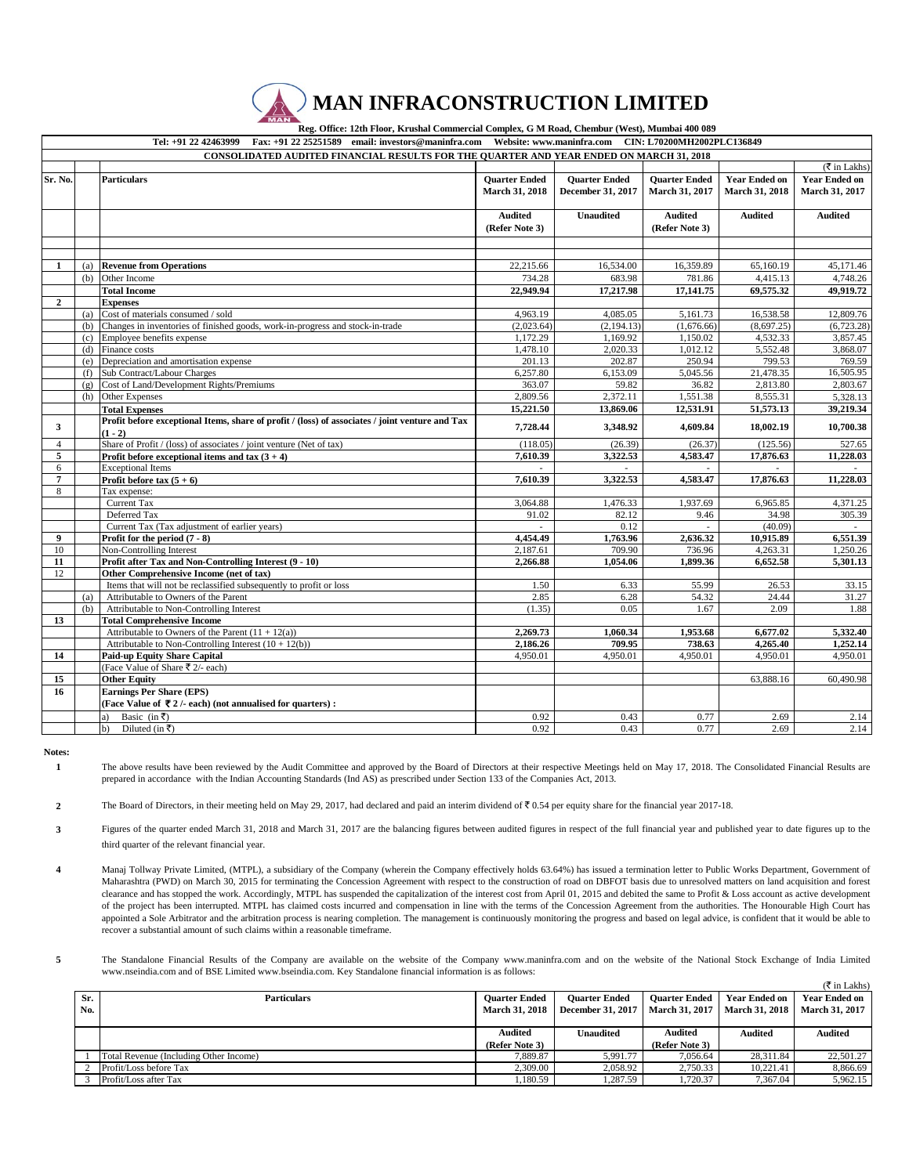

|                | Reg. Office: Their Front, Brushar Commercial Completa, G. 14 Road, Chemour (11 Cor), Francour 400 002<br>Tel: +91 22 42463999 Fax: +91 22 25251589 email: investors@maninfra.com Website: www.maninfra.com CIN: L70200MH2002PLC136849 |                                                                                                 |                       |                      |                      |                                      |                      |
|----------------|---------------------------------------------------------------------------------------------------------------------------------------------------------------------------------------------------------------------------------------|-------------------------------------------------------------------------------------------------|-----------------------|----------------------|----------------------|--------------------------------------|----------------------|
|                | <b>CONSOLIDATED AUDITED FINANCIAL RESULTS FOR THE QUARTER AND YEAR ENDED ON MARCH 31, 2018</b>                                                                                                                                        |                                                                                                 |                       |                      |                      |                                      |                      |
|                |                                                                                                                                                                                                                                       |                                                                                                 |                       |                      |                      | $(\overline{\mathfrak{F}}$ in Lakhs) |                      |
| Sr. No.        |                                                                                                                                                                                                                                       | <b>Particulars</b>                                                                              | <b>Quarter Ended</b>  | <b>Quarter Ended</b> | <b>Ouarter Ended</b> | <b>Year Ended on</b>                 | <b>Year Ended on</b> |
|                |                                                                                                                                                                                                                                       |                                                                                                 | <b>March 31, 2018</b> | December 31, 2017    | March 31, 2017       | March 31, 2018                       | March 31, 2017       |
|                |                                                                                                                                                                                                                                       |                                                                                                 |                       |                      |                      |                                      |                      |
|                |                                                                                                                                                                                                                                       |                                                                                                 | <b>Audited</b>        | <b>Unaudited</b>     | <b>Audited</b>       | <b>Audited</b>                       | <b>Audited</b>       |
|                |                                                                                                                                                                                                                                       |                                                                                                 | (Refer Note 3)        |                      | (Refer Note 3)       |                                      |                      |
|                |                                                                                                                                                                                                                                       |                                                                                                 |                       |                      |                      |                                      |                      |
|                |                                                                                                                                                                                                                                       |                                                                                                 |                       |                      |                      |                                      |                      |
| 1              | (a)                                                                                                                                                                                                                                   | <b>Revenue from Operations</b>                                                                  | 22,215.66             | 16,534.00            | 16,359.89            | 65,160.19                            | 45,171.46            |
|                | (b)                                                                                                                                                                                                                                   | Other Income                                                                                    | 734.28                | 683.98               | 781.86               | 4,415.13                             | 4,748.26             |
|                |                                                                                                                                                                                                                                       | <b>Total Income</b>                                                                             | 22,949.94             | 17,217.98            | 17,141.75            | 69,575.32                            | 49,919.72            |
| $\overline{2}$ |                                                                                                                                                                                                                                       | <b>Expenses</b>                                                                                 |                       |                      |                      |                                      |                      |
|                | (a)                                                                                                                                                                                                                                   | Cost of materials consumed / sold                                                               | 4,963.19              | 4,085.05             | 5,161.73             | 16,538.58                            | 12,809.76            |
|                | (b)                                                                                                                                                                                                                                   | Changes in inventories of finished goods, work-in-progress and stock-in-trade                   | (2,023.64)            | (2, 194.13)          | (1,676.66)           | (8,697.25)                           | (6,723.28)           |
|                | (c)                                                                                                                                                                                                                                   | Employee benefits expense                                                                       | 1,172.29              | 1,169.92             | 1,150.02             | 4,532.33                             | 3,857.45             |
|                | (d)                                                                                                                                                                                                                                   | Finance costs                                                                                   | 1,478.10              | 2,020.33             | 1,012.12             | 5,552.48                             | 3,868.07             |
|                | (e)                                                                                                                                                                                                                                   | Depreciation and amortisation expense                                                           | 201.13                | 202.87               | 250.94               | 799.53                               | 769.59               |
|                | (f)                                                                                                                                                                                                                                   | Sub Contract/Labour Charges                                                                     | 6,257.80              | 6,153.09             | 5,045.56             | 21,478.35                            | 16,505.95            |
|                | (g)                                                                                                                                                                                                                                   | Cost of Land/Development Rights/Premiums                                                        | 363.07                | 59.82                | 36.82                | 2,813.80                             | 2,803.67             |
|                | (h)                                                                                                                                                                                                                                   | Other Expenses                                                                                  | 2,809.56              | 2,372.11             | 1,551.38             | 8,555.31                             | 5,328.13             |
|                |                                                                                                                                                                                                                                       | <b>Total Expenses</b>                                                                           | 15,221.50             | 13,869.06            | 12,531.91            | 51,573.13                            | 39,219.34            |
|                |                                                                                                                                                                                                                                       | Profit before exceptional Items, share of profit / (loss) of associates / joint venture and Tax |                       |                      |                      |                                      |                      |
| 3              |                                                                                                                                                                                                                                       | $(1 - 2)$                                                                                       | 7,728.44              | 3,348.92             | 4,609.84             | 18,002.19                            | 10,700.38            |
| $\overline{4}$ |                                                                                                                                                                                                                                       | Share of Profit / (loss) of associates / joint venture (Net of tax)                             | (118.05)              | (26.39)              | (26.37)              | (125.56)                             | 527.65               |
| 5              |                                                                                                                                                                                                                                       | Profit before exceptional items and tax $(3 + 4)$                                               | 7,610.39              | 3,322.53             | 4,583.47             | 17,876.63                            | 11,228.03            |
| 6              |                                                                                                                                                                                                                                       | <b>Exceptional Items</b>                                                                        |                       |                      |                      |                                      |                      |
| 7              |                                                                                                                                                                                                                                       | Profit before tax $(5 + 6)$                                                                     | 7,610.39              | 3,322.53             | 4,583.47             | 17,876.63                            | 11,228.03            |
| $\,$ 8 $\,$    |                                                                                                                                                                                                                                       | Tax expense:                                                                                    |                       |                      |                      |                                      |                      |
|                |                                                                                                                                                                                                                                       | Current Tax                                                                                     | 3,064.88              | 1,476.33             | 1,937.69             | 6,965.85                             | 4,371.25             |
|                |                                                                                                                                                                                                                                       | Deferred Tax                                                                                    | 91.02                 | 82.12                | 9.46                 | 34.98                                | 305.39               |
|                |                                                                                                                                                                                                                                       | Current Tax (Tax adjustment of earlier years)                                                   |                       | 0.12                 |                      | (40.09)                              |                      |
| 9              |                                                                                                                                                                                                                                       | Profit for the period $(7 - 8)$                                                                 | 4,454.49              | 1,763.96             | 2,636.32             | 10.915.89                            | 6,551.39             |
| 10             |                                                                                                                                                                                                                                       | Non-Controlling Interest                                                                        | 2.187.61              | 709.90               | 736.96               | 4,263.31                             | 1,250.26             |
| 11             |                                                                                                                                                                                                                                       | Profit after Tax and Non-Controlling Interest (9 - 10)                                          | 2,266.88              | 1,054.06             | 1,899.36             | 6,652.58                             | 5,301.13             |
| 12             |                                                                                                                                                                                                                                       | Other Comprehensive Income (net of tax)                                                         |                       |                      |                      |                                      |                      |
|                |                                                                                                                                                                                                                                       | Items that will not be reclassified subsequently to profit or loss                              | 1.50                  | 6.33                 | 55.99                | 26.53                                | 33.15                |
|                | (a)                                                                                                                                                                                                                                   | Attributable to Owners of the Parent                                                            | 2.85                  | 6.28                 | 54.32                | 24.44                                | 31.27                |
|                | (b)                                                                                                                                                                                                                                   | Attributable to Non-Controlling Interest                                                        | (1.35)                | 0.05                 | 1.67                 | 2.09                                 | 1.88                 |
| 13             |                                                                                                                                                                                                                                       | <b>Total Comprehensive Income</b>                                                               |                       |                      |                      |                                      |                      |
|                |                                                                                                                                                                                                                                       | Attributable to Owners of the Parent $(11 + 12(a))$                                             | 2,269.73              | 1,060.34             | 1,953.68             | 6,677.02                             | 5,332.40             |
|                |                                                                                                                                                                                                                                       | Attributable to Non-Controlling Interest $(10 + 12(b))$                                         | 2,186.26              | 709.95               | 738.63               | 4,265.40                             | 1,252.14             |
| 14             |                                                                                                                                                                                                                                       | Paid-up Equity Share Capital                                                                    | 4.950.01              | 4,950.01             | 4,950.01             | 4,950.01                             | 4,950.01             |
|                |                                                                                                                                                                                                                                       | (Face Value of Share ₹ 2/- each)                                                                |                       |                      |                      |                                      |                      |
| 15             |                                                                                                                                                                                                                                       | <b>Other Equity</b>                                                                             |                       |                      |                      | 63,888.16                            | 60,490.98            |
| 16             |                                                                                                                                                                                                                                       | <b>Earnings Per Share (EPS)</b>                                                                 |                       |                      |                      |                                      |                      |
|                |                                                                                                                                                                                                                                       | (Face Value of ₹2/- each) (not annualised for quarters) :                                       |                       |                      |                      |                                      |                      |
|                |                                                                                                                                                                                                                                       | Basic (in ₹)                                                                                    | 0.92                  | 0.43                 | 0.77                 | 2.69                                 | 2.14                 |
|                |                                                                                                                                                                                                                                       | Diluted (in ₹)<br>b)                                                                            | 0.92                  | 0.43                 | 0.77                 | 2.69                                 | 2.14                 |

**Notes: 1**

The above results have been reviewed by the Audit Committee and approved by the Board of Directors at their respective Meetings held on May 17, 2018. The Consolidated Financial Results are prepared in accordance with the Indian Accounting Standards (Ind AS) as prescribed under Section 133 of the Companies Act, 2013.

**2** The Board of Directors, in their meeting held on May 29, 2017, had declared and paid an interim dividend of  $\bar{\mathfrak{c}}$  0.54 per equity share for the financial year 2017-18.

- **3** Figures of the quarter ended March 31, 2018 and March 31, 2017 are the balancing figures between audited figures in respect of the full financial year and published year to date figures up to the third quarter of the relevant financial year.
- **4** Manaj Tollway Private Limited, (MTPL), a subsidiary of the Company (wherein the Company effectively holds 63.64%) has issued a termination letter to Public Works Department, Government of Maharashtra (PWD) on March 30, 2015 for terminating the Concession Agreement with respect to the construction of road on DBFOT basis due to unresolved matters on land acquisition and forest clearance and has stopped the work. Accordingly, MTPL has suspended the capitalization of the interest cost from April 01, 2015 and debited the same to Profit & Loss account as active development of the project has been interrupted. MTPL has claimed costs incurred and compensation in line with the terms of the Concession Agreement from the authorities. The Honourable High Court has appointed a Sole Arbitrator and the arbitration process is nearing completion. The management is continuously monitoring the progress and based on legal advice, is confident that it would be able to recover a substantial amount of such claims within a reasonable timeframe.
- **5** (` in Lakhs) The Standalone Financial Results of the Company are available on the website of the Company www.maninfra.com and on the website of the National Stock Exchange of India Limited www.nseindia.com and of BSE Limited www.bseindia.com. Key Standalone financial information is as follows:

|     | (K in Lakns)                           |                       |                      |                       |                      |                       |  |
|-----|----------------------------------------|-----------------------|----------------------|-----------------------|----------------------|-----------------------|--|
| Sr. | <b>Particulars</b>                     | <b>Ouarter Ended</b>  | <b>Ouarter Ended</b> | <b>Ouarter Ended</b>  | <b>Year Ended on</b> | <b>Year Ended on</b>  |  |
| No. |                                        | <b>March 31, 2018</b> | December 31, 2017    | <b>March 31, 2017</b> | March 31, 2018       | <b>March 31, 2017</b> |  |
|     |                                        |                       |                      |                       |                      |                       |  |
|     |                                        | <b>Audited</b>        | Unaudited            | Audited               | Audited              | <b>Audited</b>        |  |
|     |                                        | (Refer Note 3)        |                      | (Refer Note 3)        |                      |                       |  |
|     | Total Revenue (Including Other Income) | 7.889.87              | 5.991.77             | 7.056.64              | 28.311.84            | 22,501.27             |  |
|     | Profit/Loss before Tax                 | 2,309.00              | 2.058.92             | 2.750.33              | 10.221.41            | 8,866.69              |  |
|     | Profit/Loss after Tax                  | .180.59               | 1.287.59             | 1.720.37              | 7.367.04             | 5,962.15              |  |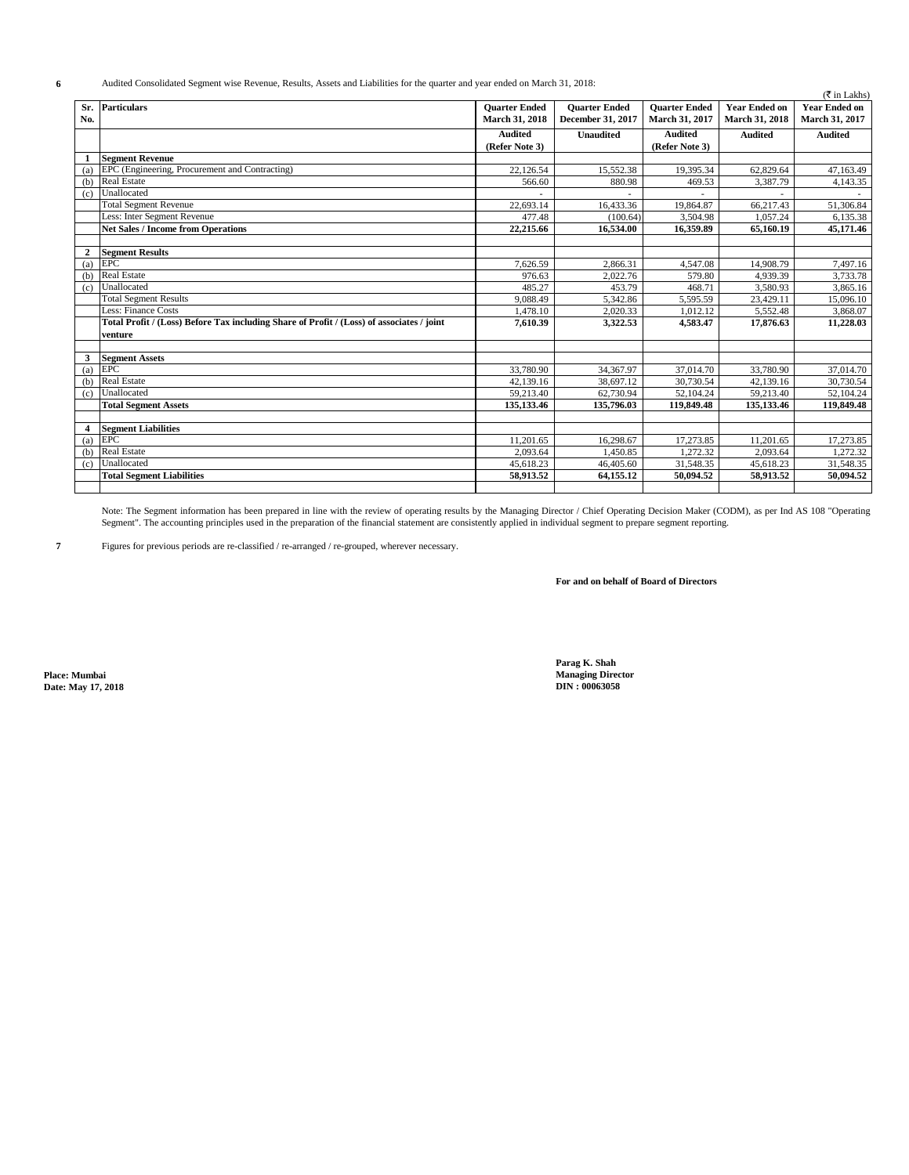**6** Audited Consolidated Segment wise Revenue, Results, Assets and Liabilities for the quarter and year ended on March 31, 2018:

|                | Audited Consondated Segment wise Revenue, Results, Assets and Liabinties for the quarter and year ended on March 31, 2016.<br>$(\overline{\mathfrak{F}}$ in Lakhs) |                      |                      |                      |                      |                      |  |
|----------------|--------------------------------------------------------------------------------------------------------------------------------------------------------------------|----------------------|----------------------|----------------------|----------------------|----------------------|--|
| Sr.            | <b>Particulars</b>                                                                                                                                                 | <b>Ouarter Ended</b> | <b>Quarter Ended</b> | <b>Ouarter Ended</b> | <b>Year Ended on</b> | <b>Year Ended on</b> |  |
| No.            |                                                                                                                                                                    | March 31, 2018       | December 31, 2017    | March 31, 2017       | March 31, 2018       | March 31, 2017       |  |
|                |                                                                                                                                                                    | <b>Audited</b>       | <b>Unaudited</b>     | <b>Audited</b>       | <b>Audited</b>       | <b>Audited</b>       |  |
|                |                                                                                                                                                                    | (Refer Note 3)       |                      | (Refer Note 3)       |                      |                      |  |
| -1             | <b>Segment Revenue</b>                                                                                                                                             |                      |                      |                      |                      |                      |  |
| (a)            | EPC (Engineering, Procurement and Contracting)                                                                                                                     | 22,126.54            | 15,552.38            | 19,395.34            | 62,829.64            | 47,163.49            |  |
| (b)            | <b>Real Estate</b>                                                                                                                                                 | 566.60               | 880.98               | 469.53               | 3,387.79             | 4,143.35             |  |
| (c)            | Unallocated                                                                                                                                                        |                      |                      |                      |                      |                      |  |
|                | <b>Total Segment Revenue</b>                                                                                                                                       | 22,693.14            | 16,433.36            | 19,864.87            | 66,217.43            | 51,306.84            |  |
|                | Less: Inter Segment Revenue                                                                                                                                        | 477.48               | (100.64)             | 3,504.98             | 1.057.24             | 6.135.38             |  |
|                | <b>Net Sales / Income from Operations</b>                                                                                                                          | 22,215.66            | 16,534.00            | 16,359.89            | 65,160.19            | 45,171.46            |  |
|                |                                                                                                                                                                    |                      |                      |                      |                      |                      |  |
| 2              | <b>Segment Results</b>                                                                                                                                             |                      |                      |                      |                      |                      |  |
| (a)            | <b>EPC</b>                                                                                                                                                         | 7.626.59             | 2,866.31             | 4.547.08             | 14,908.79            | 7,497.16             |  |
| (b)            | <b>Real Estate</b>                                                                                                                                                 | 976.63               | 2.022.76             | 579.80               | 4.939.39             | 3,733.78             |  |
| (c)            | Unallocated                                                                                                                                                        | 485.27               | 453.79               | 468.71               | 3,580.93             | 3,865.16             |  |
|                | <b>Total Segment Results</b>                                                                                                                                       | 9.088.49             | 5,342.86             | 5,595.59             | 23,429.11            | 15,096.10            |  |
|                | Less: Finance Costs                                                                                                                                                | 1,478.10             | 2,020.33             | 1,012.12             | 5,552.48             | 3,868.07             |  |
|                | Total Profit / (Loss) Before Tax including Share of Profit / (Loss) of associates / joint                                                                          | 7,610.39             | 3,322.53             | 4,583.47             | 17,876.63            | 11,228.03            |  |
|                | venture                                                                                                                                                            |                      |                      |                      |                      |                      |  |
|                |                                                                                                                                                                    |                      |                      |                      |                      |                      |  |
| 3              | <b>Segment Assets</b>                                                                                                                                              |                      |                      |                      |                      |                      |  |
| (a)            | EPC                                                                                                                                                                | 33,780.90            | 34,367.97            | 37,014.70            | 33,780.90            | 37,014.70            |  |
| (b)            | <b>Real Estate</b>                                                                                                                                                 | 42,139.16            | 38.697.12            | 30,730.54            | 42.139.16            | 30,730.54            |  |
| (c)            | Unallocated                                                                                                                                                        | 59,213.40            | 62,730.94            | 52,104.24            | 59,213.40            | 52,104.24            |  |
|                | <b>Total Segment Assets</b>                                                                                                                                        | 135,133.46           | 135,796.03           | 119,849.48           | 135,133.46           | 119,849.48           |  |
|                |                                                                                                                                                                    |                      |                      |                      |                      |                      |  |
| $\overline{4}$ | <b>Segment Liabilities</b>                                                                                                                                         |                      |                      |                      |                      |                      |  |
| (a)            | <b>EPC</b>                                                                                                                                                         | 11,201.65            | 16,298.67            | 17,273.85            | 11,201.65            | 17,273.85            |  |
| (b)            | <b>Real Estate</b>                                                                                                                                                 | 2,093.64             | 1,450.85             | 1,272.32             | 2,093.64             | 1,272.32             |  |
| (c)            | Unallocated                                                                                                                                                        | 45,618.23            | 46,405.60            | 31,548.35            | 45,618.23            | 31,548.35            |  |
|                | <b>Total Segment Liabilities</b>                                                                                                                                   | 58,913.52            | 64,155.12            | 50,094.52            | 58,913.52            | 50,094.52            |  |
|                |                                                                                                                                                                    |                      |                      |                      |                      |                      |  |

Note: The Segment information has been prepared in line with the review of operating results by the Managing Director / Chief Operating Decision Maker (CODM), as per Ind AS 108 "Operating Segment". The accounting principles used in the preparation of the financial statement are consistently applied in individual segment to prepare segment reporting.

**7** Figures for previous periods are re-classified / re-arranged / re-grouped, wherever necessary.

**For and on behalf of Board of Directors**

 $Date: May 17, 2018$ 

**Parag K. Shah Place: Mumbai Managing Director**